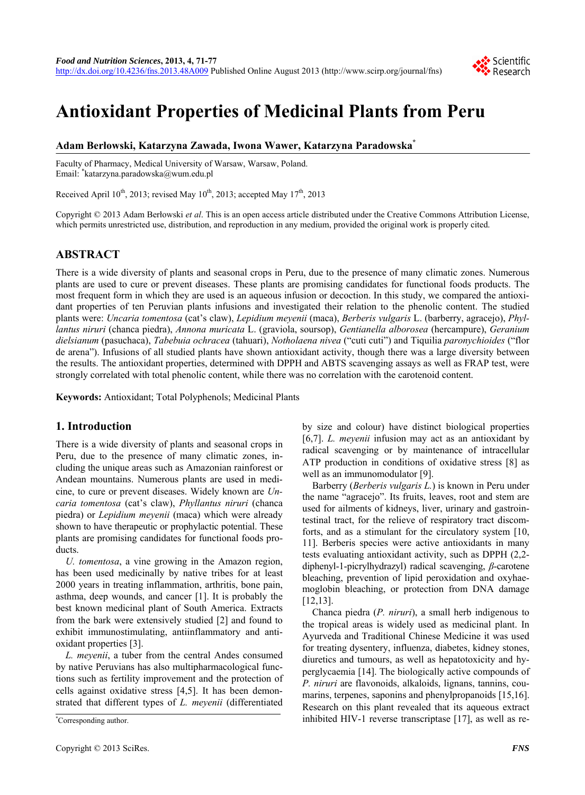

# **Antioxidant Properties of Medicinal Plants from Peru**

# **Adam Berłowski, Katarzyna Zawada, Iwona Wawer, Katarzyna Paradowska\***

Faculty of Pharmacy, Medical University of Warsaw, Warsaw, Poland. Email: \* katarzyna.paradowska@wum.edu.pl

Received April  $10^{th}$ , 2013; revised May  $10^{th}$ , 2013; accepted May  $17^{th}$ , 2013

Copyright © 2013 Adam Berłowski *et al*. This is an open access article distributed under the Creative Commons Attribution License, which permits unrestricted use, distribution, and reproduction in any medium, provided the original work is properly cited.

# **ABSTRACT**

There is a wide diversity of plants and seasonal crops in Peru, due to the presence of many climatic zones. Numerous plants are used to cure or prevent diseases. These plants are promising candidates for functional foods products. The most frequent form in which they are used is an aqueous infusion or decoction. In this study, we compared the antioxidant properties of ten Peruvian plants infusions and investigated their relation to the phenolic content. The studied plants were: *Uncaria tomentosa* (cat's claw), *Lepidium meyenii* (maca), *Berberis vulgaris* L. (barberry, agracejo), *Phyllantus niruri* (chanca piedra), *Annona muricata* L. (graviola, soursop), *Gentianella alborosea* (hercampure), *Geranium dielsianum* (pasuchaca), *Tabebuia ochracea* (tahuari), *Notholaena nivea* ("cuti cuti") and Tiquilia *paronychioides* ("flor de arena"). Infusions of all studied plants have shown antioxidant activity, though there was a large diversity between the results. The antioxidant properties, determined with DPPH and ABTS scavenging assays as well as FRAP test, were strongly correlated with total phenolic content, while there was no correlation with the carotenoid content.

**Keywords:** Antioxidant; Total Polyphenols; Medicinal Plants

# **1. Introduction**

There is a wide diversity of plants and seasonal crops in Peru, due to the presence of many climatic zones, including the unique areas such as Amazonian rainforest or Andean mountains. Numerous plants are used in medicine, to cure or prevent diseases. Widely known are *Uncaria tomentosa* (cat's claw), *Phyllantus niruri* (chanca piedra) or *Lepidium meyenii* (maca) which were already shown to have therapeutic or prophylactic potential. These plants are promising candidates for functional foods products.

*U. tomentosa*, a vine growing in the Amazon region, has been used medicinally by native tribes for at least 2000 years in treating inflammation, arthritis, bone pain, asthma, deep wounds, and cancer [1]. It is probably the best known medicinal plant of South America. Extracts from the bark were extensively studied [2] and found to exhibit immunostimulating, antiinflammatory and antioxidant properties [3].

*L. meyenii*, a tuber from the central Andes consumed by native Peruvians has also multipharmacological functions such as fertility improvement and the protection of cells against oxidative stress [4,5]. It has been demonstrated that different types of *L. meyenii* (differentiated

by size and colour) have distinct biological properties [6,7]. *L. meyenii* infusion may act as an antioxidant by radical scavenging or by maintenance of intracellular ATP production in conditions of oxidative stress [8] as well as an immunomodulator [9].

Barberry (*Berberis vulgaris L.*) is known in Peru under the name "agracejo". Its fruits, leaves, root and stem are used for ailments of kidneys, liver, urinary and gastrointestinal tract, for the relieve of respiratory tract discomforts, and as a stimulant for the circulatory system [10, 11]. Berberis species were active antioxidants in many tests evaluating antioxidant activity, such as DPPH (2,2 diphenyl-1-picrylhydrazyl) radical scavenging, *β*-carotene bleaching, prevention of lipid peroxidation and oxyhaemoglobin bleaching, or protection from DNA damage [12,13].

Chanca piedra (*P. niruri*), a small herb indigenous to the tropical areas is widely used as medicinal plant. In Ayurveda and Traditional Chinese Medicine it was used for treating dysentery, influenza, diabetes, kidney stones, diuretics and tumours, as well as hepatotoxicity and hyperglycaemia [14]. The biologically active compounds of *P. niruri* are flavonoids, alkaloids, lignans, tannins, coumarins, terpenes, saponins and phenylpropanoids [15,16]. Research on this plant revealed that its aqueous extract inhibited HIV-1 reverse transcriptase  $[17]$ , as well as re-

Corresponding author.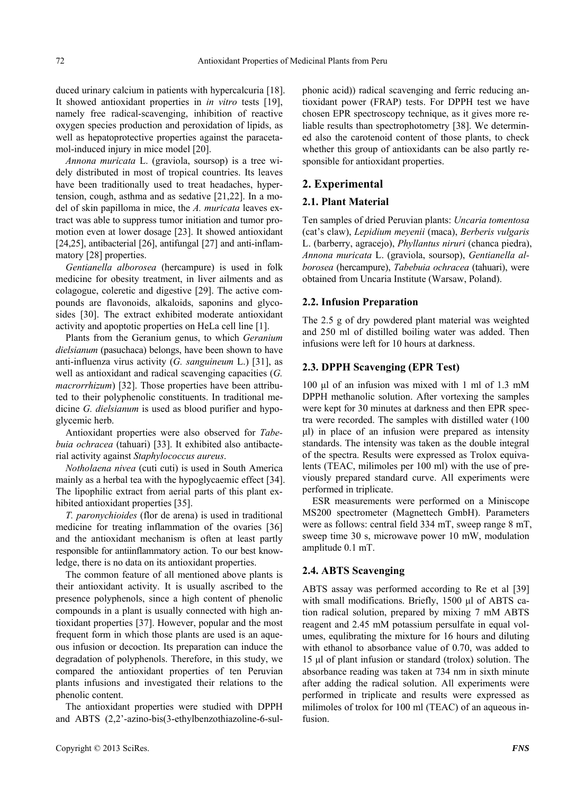duced urinary calcium in patients with hypercalcuria [18]. It showed antioxidant properties in *in vitro* tests [19], namely free radical-scavenging, inhibition of reactive oxygen species production and peroxidation of lipids, as well as hepatoprotective properties against the paracetamol-induced injury in mice model [20].

*Annona muricata* L. (graviola, soursop) is a tree widely distributed in most of tropical countries. Its leaves have been traditionally used to treat headaches, hypertension, cough, asthma and as sedative [21,22]. In a model of skin papilloma in mice, the *A. muricata* leaves extract was able to suppress tumor initiation and tumor promotion even at lower dosage [23]. It showed antioxidant [24,25], antibacterial [26], antifungal [27] and anti-inflammatory [28] properties.

*Gentianella alborosea* (hercampure) is used in folk medicine for obesity treatment, in liver ailments and as colagogue, coleretic and digestive [29]. The active compounds are flavonoids, alkaloids, saponins and glycosides [30]. The extract exhibited moderate antioxidant activity and apoptotic properties on HeLa cell line [1].

Plants from the Geranium genus, to which *Geranium dielsianum* (pasuchaca) belongs, have been shown to have anti-influenza virus activity (*G. sanguineum* L.) [31], as well as antioxidant and radical scavenging capacities (*G. macrorrhizum*) [32]. Those properties have been attributed to their polyphenolic constituents. In traditional medicine *G. dielsianum* is used as blood purifier and hypoglycemic herb.

Antioxidant properties were also observed for *Tabebuia ochracea* (tahuari) [33]. It exhibited also antibacterial activity against *Staphylococcus aureus*.

*Notholaena nivea* (cuti cuti) is used in South America mainly as a herbal tea with the hypoglycaemic effect [34]. The lipophilic extract from aerial parts of this plant exhibited antioxidant properties [35].

*T. paronychioides* (flor de arena) is used in traditional medicine for treating inflammation of the ovaries [36] and the antioxidant mechanism is often at least partly responsible for antiinflammatory action. To our best knowledge, there is no data on its antioxidant properties.

The common feature of all mentioned above plants is their antioxidant activity. It is usually ascribed to the presence polyphenols, since a high content of phenolic compounds in a plant is usually connected with high antioxidant properties [37]. However, popular and the most frequent form in which those plants are used is an aqueous infusion or decoction. Its preparation can induce the degradation of polyphenols. Therefore, in this study, we compared the antioxidant properties of ten Peruvian plants infusions and investigated their relations to the phenolic content.

The antioxidant properties were studied with DPPH and ABTS (2,2'-azino-bis(3-ethylbenzothiazoline-6-sulphonic acid)) radical scavenging and ferric reducing antioxidant power (FRAP) tests. For DPPH test we have chosen EPR spectroscopy technique, as it gives more reliable results than spectrophotometry [38]. We determined also the carotenoid content of those plants, to check whether this group of antioxidants can be also partly responsible for antioxidant properties.

# **2. Experimental**

# **2.1. Plant Material**

Ten samples of dried Peruvian plants: *Uncaria tomentosa*  (cat's claw), *Lepidium meyenii* (maca), *Berberis vulgaris*  L. (barberry, agracejo), *Phyllantus niruri* (chanca piedra), *Annona muricata* L. (graviola, soursop), *Gentianella alborosea* (hercampure), *Tabebuia ochracea* (tahuari), were obtained from Uncaria Institute (Warsaw, Poland).

#### **2.2. Infusion Preparation**

The 2.5 g of dry powdered plant material was weighted and 250 ml of distilled boiling water was added. Then infusions were left for 10 hours at darkness.

#### **2.3. DPPH Scavenging (EPR Test)**

100 μl of an infusion was mixed with 1 ml of 1.3 mM DPPH methanolic solution. After vortexing the samples were kept for 30 minutes at darkness and then EPR spectra were recorded. The samples with distilled water (100 μl) in place of an infusion were prepared as intensity standards. The intensity was taken as the double integral of the spectra. Results were expressed as Trolox equivalents (TEAC, milimoles per 100 ml) with the use of previously prepared standard curve. All experiments were performed in triplicate.

ESR measurements were performed on a Miniscope MS200 spectrometer (Magnettech GmbH). Parameters were as follows: central field 334 mT, sweep range 8 mT, sweep time 30 s, microwave power 10 mW, modulation amplitude 0.1 mT.

#### **2.4. ABTS Scavenging**

ABTS assay was performed according to Re et al [39] with small modifications. Briefly, 1500 μl of ABTS cation radical solution, prepared by mixing 7 mM ABTS reagent and 2.45 mM potassium persulfate in equal volumes, equlibrating the mixture for 16 hours and diluting with ethanol to absorbance value of 0.70, was added to 15 μl of plant infusion or standard (trolox) solution. The absorbance reading was taken at 734 nm in sixth minute after adding the radical solution. All experiments were performed in triplicate and results were expressed as milimoles of trolox for 100 ml (TEAC) of an aqueous infusion.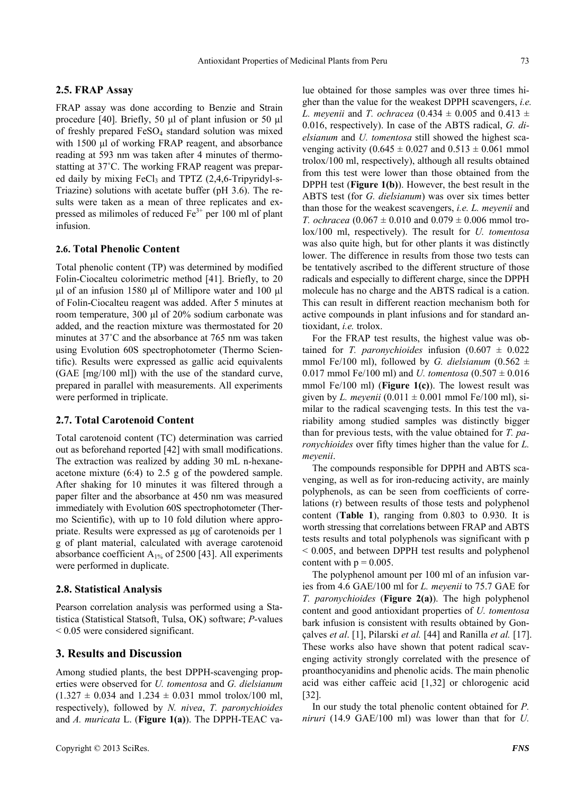#### **2.5. FRAP Assay**

FRAP assay was done according to Benzie and Strain procedure [40]. Briefly, 50 μl of plant infusion or 50 μl of freshly prepared  $FeSO<sub>4</sub>$  standard solution was mixed with 1500 μl of working FRAP reagent, and absorbance reading at 593 nm was taken after 4 minutes of thermostatting at 37˚C. The working FRAP reagent was prepared daily by mixing FeCl<sub>3</sub> and TPTZ (2,4,6-Tripyridyl-s-Triazine) solutions with acetate buffer (pH 3.6). The results were taken as a mean of three replicates and expressed as milimoles of reduced  $Fe<sup>3+</sup>$  per 100 ml of plant infusion.

#### **2.6. Total Phenolic Content**

Total phenolic content (TP) was determined by modified Folin-Ciocalteu colorimetric method [41]. Briefly, to 20 μl of an infusion 1580 μl of Millipore water and 100 μl of Folin-Ciocalteu reagent was added. After 5 minutes at room temperature, 300 μl of 20% sodium carbonate was added, and the reaction mixture was thermostated for 20 minutes at 37˚C and the absorbance at 765 nm was taken using Evolution 60S spectrophotometer (Thermo Scientific). Results were expressed as gallic acid equivalents (GAE [mg/100 ml]) with the use of the standard curve, prepared in parallel with measurements. All experiments were performed in triplicate.

#### **2.7. Total Carotenoid Content**

Total carotenoid content (TC) determination was carried out as beforehand reported [42] with small modifications. The extraction was realized by adding 30 mL n-hexaneacetone mixture (6:4) to 2.5 g of the powdered sample. After shaking for 10 minutes it was filtered through a paper filter and the absorbance at 450 nm was measured immediately with Evolution 60S spectrophotometer (Thermo Scientific), with up to 10 fold dilution where appropriate. Results were expressed as μg of carotenoids per 1 g of plant material, calculated with average carotenoid absorbance coefficient  $A_{1%}$  of 2500 [43]. All experiments were performed in duplicate.

#### **2.8. Statistical Analysis**

Pearson correlation analysis was performed using a Statistica (Statistical Statsoft, Tulsa, OK) software; *P*-values < 0.05 were considered significant.

### **3. Results and Discussion**

Among studied plants, the best DPPH-scavenging properties were observed for *U. tomentosa* and *G. dielsianum*  $(1.327 \pm 0.034$  and  $1.234 \pm 0.031$  mmol trolox/100 ml, respectively), followed by *N. nivea*, *T. paronychioides* and *A. muricata* L. (**Figure 1(a)**). The DPPH-TEAC value obtained for those samples was over three times higher than the value for the weakest DPPH scavengers, *i.e. L. meyenii* and *T. ochracea*  $(0.434 \pm 0.005$  and  $0.413 \pm 0.005$ 0.016, respectively). In case of the ABTS radical, *G. dielsianum* and *U. tomentosa* still showed the highest scavenging activity (0.645  $\pm$  0.027 and 0.513  $\pm$  0.061 mmol trolox/100 ml, respectively), although all results obtained from this test were lower than those obtained from the DPPH test (**Figure 1(b)**). However, the best result in the ABTS test (for *G. dielsianum*) was over six times better than those for the weakest scavengers, *i.e. L. meyenii* and *T. ochracea* (0.067  $\pm$  0.010 and 0.079  $\pm$  0.006 mmol trolox/100 ml, respectively). The result for *U. tomentosa* was also quite high, but for other plants it was distinctly lower. The difference in results from those two tests can be tentatively ascribed to the different structure of those radicals and especially to different charge, since the DPPH molecule has no charge and the ABTS radical is a cation. This can result in different reaction mechanism both for active compounds in plant infusions and for standard antioxidant, *i.e.* trolox.

For the FRAP test results, the highest value was obtained for *T. paronychioides* infusion  $(0.607 \pm 0.022)$ mmol Fe/100 ml), followed by *G. dielsianum* (0.562  $\pm$ 0.017 mmol Fe/100 ml) and *U. tomentosa*  $(0.507 \pm 0.016)$ mmol Fe/100 ml) (**Figure 1(c)**). The lowest result was given by *L. meyenii*  $(0.011 \pm 0.001 \text{ mmol} \text{Fe}/100 \text{ ml})$ , similar to the radical scavenging tests. In this test the variability among studied samples was distinctly bigger than for previous tests, with the value obtained for *T. paronychioides* over fifty times higher than the value for *L. meyenii*.

The compounds responsible for DPPH and ABTS scavenging, as well as for iron-reducing activity, are mainly polyphenols, as can be seen from coefficients of correlations (r) between results of those tests and polyphenol content (**Table 1**), ranging from 0.803 to 0.930. It is worth stressing that correlations between FRAP and ABTS tests results and total polyphenols was significant with p < 0.005, and between DPPH test results and polyphenol content with  $p = 0.005$ .

The polyphenol amount per 100 ml of an infusion varies from 4.6 GAE/100 ml for *L. meyenii* to 75.7 GAE for *T. paronychioides* (**Figure 2(a)**). The high polyphenol content and good antioxidant properties of *U. tomentosa* bark infusion is consistent with results obtained by Gonçalves *et al*. [1], Pilarski *et al.* [44] and Ranilla *et al.* [17]. These works also have shown that potent radical scavenging activity strongly correlated with the presence of proanthocyanidins and phenolic acids. The main phenolic acid was either caffeic acid [1,32] or chlorogenic acid [32].

In our study the total phenolic content obtained for *P. niruri* (14.9 GAE/100 ml) was lower than that for *U.*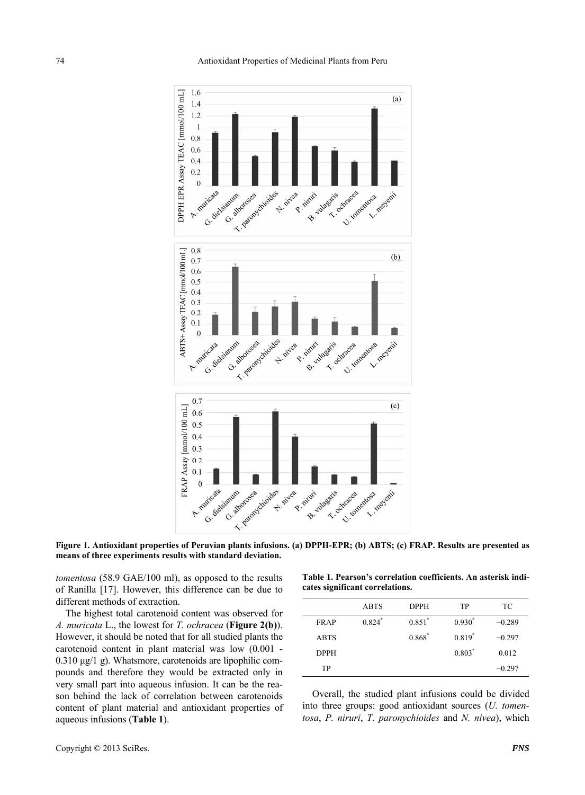

**Figure 1. Antioxidant properties of Peruvian plants infusions. (a) DPPH-EPR; (b) ABTS; (c) FRAP. Results are presented as means of three experiments results with standard deviation.** 

*tomentosa* (58.9 GAE/100 ml), as opposed to the results of Ranilla [17]. However, this difference can be due to different methods of extraction.

The highest total carotenoid content was observed for *A. muricata* L., the lowest for *T. ochracea* (**Figure 2(b)**). However, it should be noted that for all studied plants the carotenoid content in plant material was low (0.001 - 0.310 μg/1 g). Whatsmore, carotenoids are lipophilic compounds and therefore they would be extracted only in very small part into aqueous infusion. It can be the reason behind the lack of correlation between carotenoids content of plant material and antioxidant properties of aqueous infusions (**Table 1**).

Copyright © 2013 SciRes. *FNS* 

**Table 1. Pearson's correlation coefficients. An asterisk indicates significant correlations.** 

|             | <b>ABTS</b> | <b>DPPH</b> | TP       | ТC       |
|-------------|-------------|-------------|----------|----------|
| <b>FRAP</b> | $0.824*$    | $0.851*$    | $0.930*$ | $-0.289$ |
| <b>ABTS</b> |             | $0.868^*$   | $0.819*$ | $-0.297$ |
| <b>DPPH</b> |             |             | $0.803*$ | 0.012    |
| TP          |             |             |          | $-0.297$ |
|             |             |             |          |          |

Overall, the studied plant infusions could be divided into three groups: good antioxidant sources (*U. tomentosa*, *P. niruri*, *T. paronychioides* and *N. nivea*), which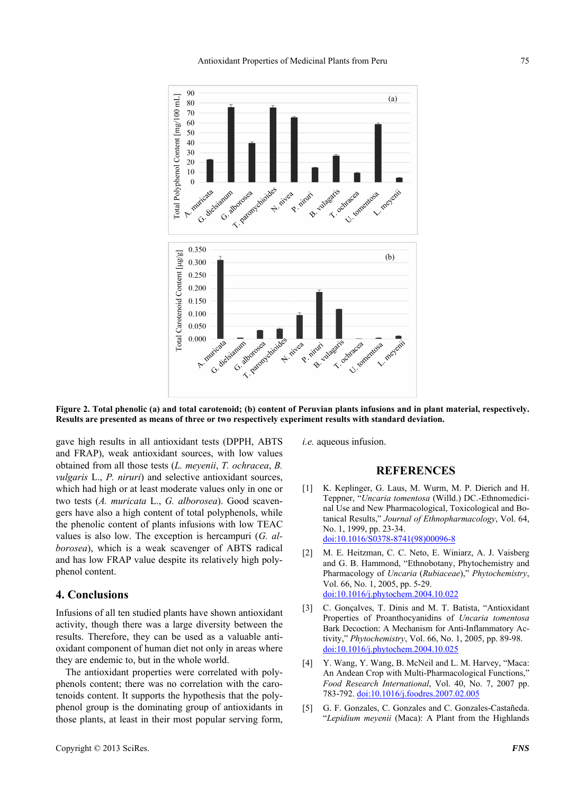

**Figure 2. Total phenolic (a) and total carotenoid; (b) content of Peruvian plants infusions and in plant material, respectively. Results are presented as means of three or two respectively experiment results with standard deviation.** 

gave high results in all antioxidant tests (DPPH, ABTS and FRAP), weak antioxidant sources, with low values obtained from all those tests (*L. meyenii*, *T. ochracea*, *B. vulgaris* L., *P. niruri*) and selective antioxidant sources, which had high or at least moderate values only in one or two tests (*A. muricata* L., *G. alborosea*). Good scavengers have also a high content of total polyphenols, while the phenolic content of plants infusions with low TEAC values is also low. The exception is hercampuri (*G. alborosea*), which is a weak scavenger of ABTS radical and has low FRAP value despite its relatively high polyphenol content.

# **4. Conclusions**

Infusions of all ten studied plants have shown antioxidant activity, though there was a large diversity between the results. Therefore, they can be used as a valuable antioxidant component of human diet not only in areas where they are endemic to, but in the whole world.

The antioxidant properties were correlated with polyphenols content; there was no correlation with the carotenoids content. It supports the hypothesis that the polyphenol group is the dominating group of antioxidants in those plants, at least in their most popular serving form, *i.e.* aqueous infusion.

# **REFERENCES**

- [1] K. Keplinger, G. Laus, M. Wurm, M. P. Dierich and H. Teppner, "*Uncaria tomentosa* (Willd.) DC.-Ethnomedicinal Use and New Pharmacological, Toxicological and Botanical Results," *Journal of Ethnopharmacology*, Vol. 64, No. 1, 1999, pp. 23-34. [doi:10.1016/S0378-8741\(98\)00096-8](http://dx.doi.org/10.1016/S0378-8741(98)00096-8)
- [2] M. E. Heitzman, C. C. Neto, E. Winiarz, A. J. Vaisberg and G. B. Hammond, "Ethnobotany, Phytochemistry and Pharmacology of *Uncaria* (*Rubiaceae*)," *Phytochemistry*, Vol. 66, No. 1, 2005, pp. 5-29. [doi:10.1016/j.phytochem.2004.10.022](http://dx.doi.org/10.1016/j.phytochem.2004.10.022)
- [3] C. Gonçalves, T. Dinis and M. T. Batista, "Antioxidant Properties of Proanthocyanidins of *Uncaria tomentosa* Bark Decoction: A Mechanism for Anti-Inflammatory Activity," *Phytochemistry*, Vol. 66, No. 1, 2005, pp. 89-98. [doi:10.1016/j.phytochem.2004.10.025](http://dx.doi.org/10.1016/j.phytochem.2004.10.025)
- [4] Y. Wang, Y. Wang, B. McNeil and L. M. Harvey, "Maca: An Andean Crop with Multi-Pharmacological Functions," *Food Research International*, Vol. 40, No. 7, 2007 pp. 783-792. [doi:10.1016/j.foodres.2007.02.005](http://dx.doi.org/10.1016/j.foodres.2007.02.005)
- [5] G. F. Gonzales, C. Gonzales and C. Gonzales-Castañeda. "*Lepidium meyenii* (Maca): A Plant from the Highlands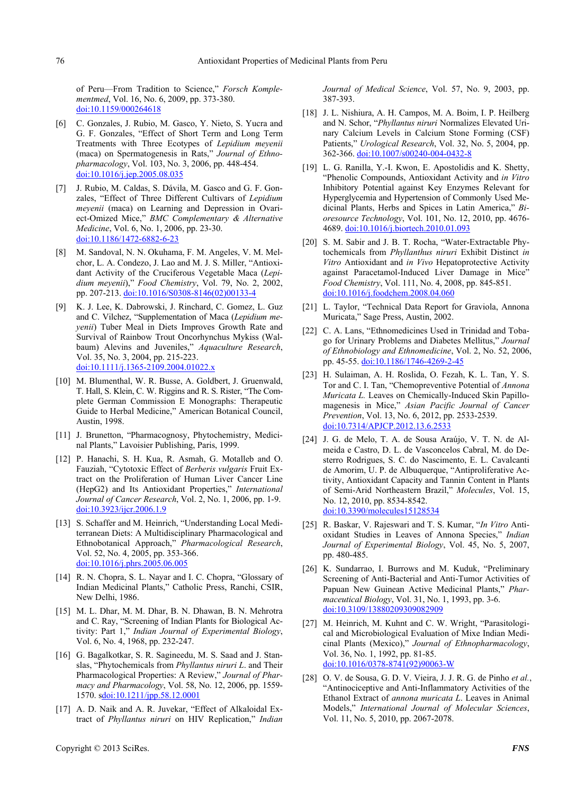of Peru—From Tradition to Science," *Forsch Komplementmed*, Vol. 16, No. 6, 2009, pp. 373-380. doi:10.1159/000264618

- [6] C. Gonzales, J. Rubio, M. Gasco, Y. Nieto, S. Yucra and G. F. Gonzales, "Effect of Short Term and Long Term Treatments with Three Ecotypes of *Lepidium meyenii* (maca) on Spermatogenesis in Rats," *Journal of Ethnopharmacology*, Vol. 103, No. 3, 2006, pp. 448-454. [doi:10.1016/j.jep.2005.08.035](http://dx.doi.org/10.1016/j.jep.2005.08.035)
- [7] J. Rubio, M. Caldas, S. Dávila, M. Gasco and G. F. Gonzales, "Effect of Three Different Cultivars of *Lepidium meyenii* (maca) on Learning and Depression in Ovariect-Omized Mice," *BMC Complementary & Alternative Medicine*, Vol. 6, No. 1, 2006, pp. 23-30. [doi:10.1186/1472-6882-6-23](http://dx.doi.org/10.1186/1472-6882-6-23)
- [8] M. Sandoval, N. N. Okuhama, F. M. Angeles, V. M. Melchor, L. A. Condezo, J. Lao and M. J. S. Miller, "Antioxidant Activity of the Cruciferous Vegetable Maca (*Lepidium meyenii*)," *Food Chemistry*, Vol. 79, No. 2, 2002, pp. 207-213. [doi:10.1016/S0308-8146\(02\)00133-4](http://dx.doi.org/10.1016/S0308-8146(02)00133-4)
- [9] K. J. Lee, K. Dabrowski, J. Rinchard, C. Gomez, L. Guz and C. Vilchez, "Supplementation of Maca (*Lepidium meyenii*) Tuber Meal in Diets Improves Growth Rate and Survival of Rainbow Trout Oncorhynchus Mykiss (Walbaum) Alevins and Juveniles," *Aquaculture Research*, Vol. 35, No. 3, 2004, pp. 215-223. [doi:10.1111/j.1365-2109.2004.01022.x](http://dx.doi.org/10.1111/j.1365-2109.2004.01022.x)
- [10] M. Blumenthal, W. R. Busse, A. Goldbert, J. Gruenwald, T. Hall, S. Klein, C. W. Riggins and R. S. Rister, "The Complete German Commission E Monographs: Therapeutic Guide to Herbal Medicine," American Botanical Council, Austin, 1998.
- [11] J. Brunetton, "Pharmacognosy, Phytochemistry, Medicinal Plants," Lavoisier Publishing, Paris, 1999.
- [12] P. Hanachi, S. H. Kua, R. Asmah, G. Motalleb and O. Fauziah, "Cytotoxic Effect of *Berberis vulgaris* Fruit Extract on the Proliferation of Human Liver Cancer Line (HepG2) and Its Antioxidant Properties," *International Journal of Cancer Research*, Vol. 2, No. 1, 2006, pp. 1-9. [doi:10.3923/ijcr.2006.1.9](http://dx.doi.org/10.3923/ijcr.2006.1.9)
- [13] S. Schaffer and M. Heinrich, "Understanding Local Mediterranean Diets: A Multidisciplinary Pharmacological and Ethnobotanical Approach," *Pharmacological Research*, Vol. 52, No. 4, 2005, pp. 353-366. [doi:10.1016/j.phrs.2005.06.005](http://dx.doi.org/10.1016/j.phrs.2005.06.005)
- [14] R. N. Chopra, S. L. Nayar and I. C. Chopra, "Glossary of Indian Medicinal Plants," Catholic Press, Ranchi, CSIR, New Delhi, 1986.
- [15] M. L. Dhar, M. M. Dhar, B. N. Dhawan, B. N. Mehrotra and C. Ray, "Screening of Indian Plants for Biological Activity: Part 1," *Indian Journal of Experimental Biology*, Vol. 6, No. 4, 1968, pp. 232-247.
- [16] G. Bagalkotkar, S. R. Sagineedu, M. S. Saad and J. Stanslas, "Phytochemicals from *Phyllantus niruri L*. and Their Pharmacological Properties: A Review," *Journal of Pharmacy and Pharmacology*, Vol. 58, No. 12, 2006, pp. 1559- 1570. s[doi:10.1211/jpp.58.12.0001](http://dx.doi.org/10.1211/jpp.58.12.0001)
- [17] A. D. Naik and A. R. Juvekar, "Effect of Alkaloidal Extract of *Phyllantus niruri* on HIV Replication," *Indian*

*Journal of Medical Science*, Vol. 57, No. 9, 2003, pp. 387-393.

- [18] J. L. Nishiura, A. H. Campos, M. A. Boim, I. P. Heilberg and N. Schor, "*Phyllantus niruri* Normalizes Elevated Urinary Calcium Levels in Calcium Stone Forming (CSF) Patients," *Urological Research*, Vol. 32, No. 5, 2004, pp. 362-366. [doi:10.1007/s00240-004-0432-8](http://dx.doi.org/10.1007/s00240-004-0432-8)
- [19] L. G. Ranilla, Y.-I. Kwon, E. Apostolidis and K. Shetty, "Phenolic Compounds, Antioxidant Activity and *in Vitro*  Inhibitory Potential against Key Enzymes Relevant for Hyperglycemia and Hypertension of Commonly Used Medicinal Plants, Herbs and Spices in Latin America," *Bioresource Technology*, Vol. 101, No. 12, 2010, pp. 4676- 4689. [doi:10.1016/j.biortech.2010.01.093](http://dx.doi.org/10.1016/j.biortech.2010.01.093)
- [20] S. M. Sabir and J. B. T. Rocha, "Water-Extractable Phytochemicals from *Phyllanthus niruri* Exhibit Distinct *in Vitro* Antioxidant and *in Vivo* Hepatoprotective Activity against Paracetamol-Induced Liver Damage in Mice" *Food Chemistry*, Vol. 111, No. 4, 2008, pp. 845-851. [doi:10.1016/j.foodchem.2008.04.060](http://dx.doi.org/10.1016/j.foodchem.2008.04.060)
- [21] L. Taylor, "Technical Data Report for Graviola, Annona Muricata," Sage Press, Austin, 2002.
- [22] C. A. Lans, "Ethnomedicines Used in Trinidad and Tobago for Urinary Problems and Diabetes Mellitus," *Journal of Ethnobiology and Ethnomedicine*, Vol. 2, No. 52, 2006, pp. 45-55. [doi:10.1186/1746-4269-2-45](http://dx.doi.org/10.1186/1746-4269-2-45)
- [23] H. Sulaiman, A. H. Roslida, O. Fezah, K. L. Tan, Y. S. Tor and C. I. Tan, "Chemopreventive Potential of *Annona Muricata L.* Leaves on Chemically-Induced Skin Papillomagenesis in Mice," *Asian Pacific Journal of Cancer Prevention*, Vol. 13, No. 6, 2012, pp. 2533-2539. [doi:10.7314/APJCP.2012.13.6.2533](http://dx.doi.org/10.7314/APJCP.2012.13.6.2533)
- [24] J. G. de Melo, T. A. de Sousa Araújo, V. T. N. de Almeida e Castro, D. L. de Vasconcelos Cabral, M. do Desterro Rodrigues, S. C. do Nascimento, E. L. Cavalcanti de Amorim, U. P. de Albuquerque, "Antiproliferative Activity, Antioxidant Capacity and Tannin Content in Plants of Semi-Arid Northeastern Brazil," *Molecules*, Vol. 15, No. 12, 2010, pp. 8534-8542. [doi:10.3390/molecules15128534](http://dx.doi.org/10.3390/molecules15128534)
- [25] R. Baskar, V. Rajeswari and T. S. Kumar, "*In Vitro* Antioxidant Studies in Leaves of Annona Species," *Indian Journal of Experimental Biology*, Vol. 45, No. 5, 2007, pp. 480-485.
- [26] K. Sundarrao, I. Burrows and M. Kuduk, "Preliminary Screening of Anti-Bacterial and Anti-Tumor Activities of Papuan New Guinean Active Medicinal Plants," *Pharmaceutical Biology*, Vol. 31, No. 1, 1993, pp. 3-6. [doi:10.3109/13880209309082909](http://dx.doi.org/10.3109/13880209309082909)
- [27] M. Heinrich, M. Kuhnt and C. W. Wright, "Parasitological and Microbiological Evaluation of Mixe Indian Medicinal Plants (Mexico)," *Journal of Ethnopharmacology*, Vol. 36, No. 1, 1992, pp. 81-85. [doi:10.1016/0378-8741\(92\)90063-W](http://dx.doi.org/10.1016/0378-8741(92)90063-W)
- [28] O. V. de Sousa, G. D. V. Vieira, J. J. R. G. de Pinho *et al.*, "Antinociceptive and Anti-Inflammatory Activities of the Ethanol Extract of *annona muricata L*. Leaves in Animal Models," *International Journal of Molecular Sciences*, Vol. 11, No. 5, 2010, pp. 2067-2078.